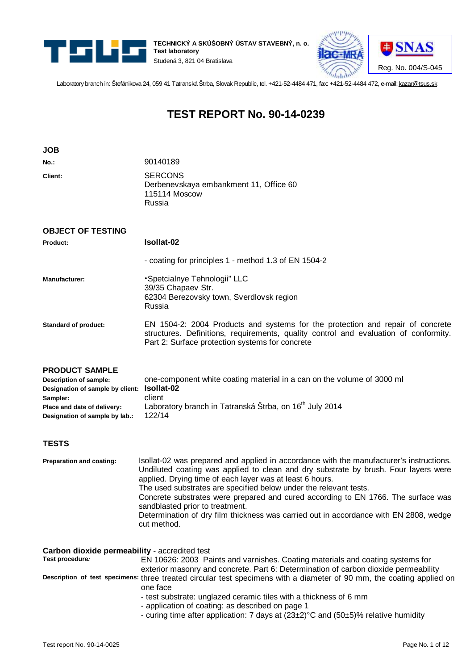

**JOB** 

**TECHNICKÝ A SKÚŠOBNÝ ÚSTAV STAVEBNÝ, n. o. Test laboratory** Studená 3, 821 04 Bratislava



Laboratory branch in: Štefánikova 24, 059 41 Tatranská Štrba, Slovak Republic, tel. +421-52-4484 471, fax: +421-52-4484 472, e-mail: [kazar@tsus.sk](mailto:kazar@tsus.sk)

# **TEST REPORT No. 90-14-0239**

| <b>JOB</b>                                                                                                                                                                  |                                                                                                                                                                                                                                                                                                                                                                                                                                                                                                                                                 |
|-----------------------------------------------------------------------------------------------------------------------------------------------------------------------------|-------------------------------------------------------------------------------------------------------------------------------------------------------------------------------------------------------------------------------------------------------------------------------------------------------------------------------------------------------------------------------------------------------------------------------------------------------------------------------------------------------------------------------------------------|
| No.:                                                                                                                                                                        | 90140189                                                                                                                                                                                                                                                                                                                                                                                                                                                                                                                                        |
| Client:                                                                                                                                                                     | <b>SERCONS</b><br>Derbenevskaya embankment 11, Office 60<br><b>115114 Moscow</b><br>Russia                                                                                                                                                                                                                                                                                                                                                                                                                                                      |
| <b>OBJECT OF TESTING</b>                                                                                                                                                    |                                                                                                                                                                                                                                                                                                                                                                                                                                                                                                                                                 |
| Product:                                                                                                                                                                    | Isollat-02                                                                                                                                                                                                                                                                                                                                                                                                                                                                                                                                      |
|                                                                                                                                                                             | - coating for principles 1 - method 1.3 of EN 1504-2                                                                                                                                                                                                                                                                                                                                                                                                                                                                                            |
| <b>Manufacturer:</b>                                                                                                                                                        | "Spetcialnye Tehnologii" LLC<br>39/35 Chapaev Str.<br>62304 Berezovsky town, Sverdlovsk region<br>Russia                                                                                                                                                                                                                                                                                                                                                                                                                                        |
| <b>Standard of product:</b>                                                                                                                                                 | EN 1504-2: 2004 Products and systems for the protection and repair of concrete<br>structures. Definitions, requirements, quality control and evaluation of conformity.<br>Part 2: Surface protection systems for concrete                                                                                                                                                                                                                                                                                                                       |
| <b>PRODUCT SAMPLE</b><br>Description of sample:<br>Designation of sample by client: Isollat-02<br>Sampler:<br>Place and date of delivery:<br>Designation of sample by lab.: | one-component white coating material in a can on the volume of 3000 ml<br>client<br>Laboratory branch in Tatranská Štrba, on 16 <sup>th</sup> July 2014<br>122/14                                                                                                                                                                                                                                                                                                                                                                               |
| <b>TESTS</b>                                                                                                                                                                |                                                                                                                                                                                                                                                                                                                                                                                                                                                                                                                                                 |
| Preparation and coating:                                                                                                                                                    | Isollat-02 was prepared and applied in accordance with the manufacturer's instructions.<br>Undiluted coating was applied to clean and dry substrate by brush. Four layers were<br>applied. Drying time of each layer was at least 6 hours.<br>The used substrates are specified below under the relevant tests.<br>Concrete substrates were prepared and cured according to EN 1766. The surface was<br>sandblasted prior to treatment.<br>Determination of dry film thickness was carried out in accordance with EN 2808, wedge<br>cut method. |
| Carbon dioxide permeability - accredited test<br>Test procedure:                                                                                                            | EN 10626: 2003 Paints and varnishes. Coating materials and coating systems for<br>exterior masonry and concrete. Part 6: Determination of carbon dioxide permeability                                                                                                                                                                                                                                                                                                                                                                           |
|                                                                                                                                                                             | Description of test specimens: three treated circular test specimens with a diameter of 90 mm, the coating applied on<br>one face<br>- test substrate: unglazed ceramic tiles with a thickness of 6 mm<br>- application of coating: as described on page 1<br>- curing time after application: 7 days at (23±2)°C and (50±5)% relative humidity                                                                                                                                                                                                 |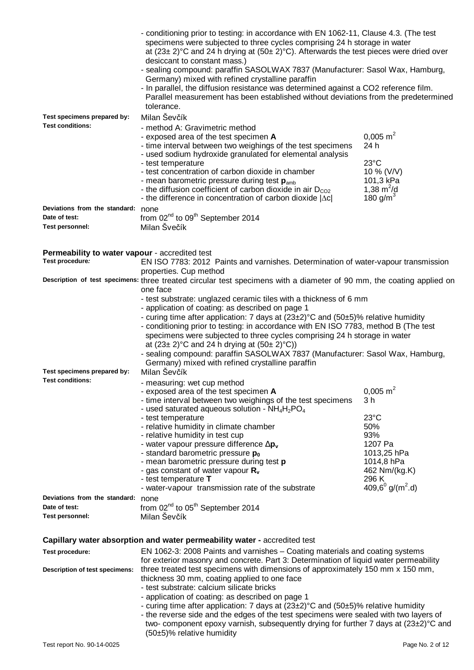|                                                | - conditioning prior to testing: in accordance with EN 1062-11, Clause 4.3. (The test<br>specimens were subjected to three cycles comprising 24 h storage in water<br>at $(23\pm 2)$ °C and 24 h drying at $(50\pm 2)$ °C). Afterwards the test pieces were dried over<br>desiccant to constant mass.)<br>- sealing compound: paraffin SASOLWAX 7837 (Manufacturer: Sasol Wax, Hamburg,<br>Germany) mixed with refined crystalline paraffin<br>- In parallel, the diffusion resistance was determined against a CO2 reference film.<br>Parallel measurement has been established without deviations from the predetermined<br>tolerance. |                                                                 |  |  |
|------------------------------------------------|------------------------------------------------------------------------------------------------------------------------------------------------------------------------------------------------------------------------------------------------------------------------------------------------------------------------------------------------------------------------------------------------------------------------------------------------------------------------------------------------------------------------------------------------------------------------------------------------------------------------------------------|-----------------------------------------------------------------|--|--|
| Test specimens prepared by:                    | Milan Ševčík                                                                                                                                                                                                                                                                                                                                                                                                                                                                                                                                                                                                                             |                                                                 |  |  |
| <b>Test conditions:</b>                        | - method A: Gravimetric method<br>- exposed area of the test specimen A<br>- time interval between two weighings of the test specimens<br>- used sodium hydroxide granulated for elemental analysis<br>- test temperature                                                                                                                                                                                                                                                                                                                                                                                                                | $0.005$ m <sup>2</sup><br>24 h<br>$23^{\circ}$ C                |  |  |
|                                                | - test concentration of carbon dioxide in chamber<br>- mean barometric pressure during test $p_{amb}$<br>- the diffusion coefficient of carbon dioxide in air $D_{CO2}$<br>- the difference in concentration of carbon dioxide $ \Delta c $                                                                                                                                                                                                                                                                                                                                                                                              | 10 % (V/V)<br>101,3 kPa<br>1,38 $m^2/d$<br>180 g/m <sup>3</sup> |  |  |
| Deviations from the standard: none             |                                                                                                                                                                                                                                                                                                                                                                                                                                                                                                                                                                                                                                          |                                                                 |  |  |
| Date of test:                                  | from 02 <sup>nd</sup> to 09 <sup>th</sup> September 2014                                                                                                                                                                                                                                                                                                                                                                                                                                                                                                                                                                                 |                                                                 |  |  |
| <b>Test personnel:</b>                         | Milan Švečík                                                                                                                                                                                                                                                                                                                                                                                                                                                                                                                                                                                                                             |                                                                 |  |  |
|                                                |                                                                                                                                                                                                                                                                                                                                                                                                                                                                                                                                                                                                                                          |                                                                 |  |  |
|                                                |                                                                                                                                                                                                                                                                                                                                                                                                                                                                                                                                                                                                                                          |                                                                 |  |  |
| Permeability to water vapour - accredited test |                                                                                                                                                                                                                                                                                                                                                                                                                                                                                                                                                                                                                                          |                                                                 |  |  |
| Test procedure:                                | EN ISO 7783: 2012 Paints and varnishes. Determination of water-vapour transmission                                                                                                                                                                                                                                                                                                                                                                                                                                                                                                                                                       |                                                                 |  |  |
|                                                | properties. Cup method                                                                                                                                                                                                                                                                                                                                                                                                                                                                                                                                                                                                                   |                                                                 |  |  |
|                                                | Description of test specimens: three treated circular test specimens with a diameter of 90 mm, the coating applied on                                                                                                                                                                                                                                                                                                                                                                                                                                                                                                                    |                                                                 |  |  |
|                                                | one face                                                                                                                                                                                                                                                                                                                                                                                                                                                                                                                                                                                                                                 |                                                                 |  |  |
| Test specimens prepared by:                    | - test substrate: unglazed ceramic tiles with a thickness of 6 mm<br>- application of coating: as described on page 1<br>- curing time after application: 7 days at $(23\pm2)$ °C and $(50\pm5)$ % relative humidity<br>- conditioning prior to testing: in accordance with EN ISO 7783, method B (The test<br>specimens were subjected to three cycles comprising 24 h storage in water<br>at $(23 \pm 2)$ °C and 24 h drying at $(50 \pm 2)$ °C))<br>- sealing compound: paraffin SASOLWAX 7837 (Manufacturer: Sasol Wax, Hamburg,<br>Germany) mixed with refined crystalline paraffin<br>Milan Ševčík                                 |                                                                 |  |  |
| <b>Test conditions:</b>                        | - measuring: wet cup method                                                                                                                                                                                                                                                                                                                                                                                                                                                                                                                                                                                                              |                                                                 |  |  |
|                                                | - exposed area of the test specimen A                                                                                                                                                                                                                                                                                                                                                                                                                                                                                                                                                                                                    | $0,005 \text{ m}^2$                                             |  |  |
|                                                | - time interval between two weighings of the test specimens<br>- used saturated aqueous solution - $NH_4H_2PO_4$                                                                                                                                                                                                                                                                                                                                                                                                                                                                                                                         | 3 h                                                             |  |  |
|                                                | - test temperature                                                                                                                                                                                                                                                                                                                                                                                                                                                                                                                                                                                                                       | $23^{\circ}$ C                                                  |  |  |
|                                                | - relative humidity in climate chamber                                                                                                                                                                                                                                                                                                                                                                                                                                                                                                                                                                                                   | 50%                                                             |  |  |
|                                                | - relative humidity in test cup                                                                                                                                                                                                                                                                                                                                                                                                                                                                                                                                                                                                          | 93%                                                             |  |  |
|                                                | - water vapour pressure difference $Dp_v$                                                                                                                                                                                                                                                                                                                                                                                                                                                                                                                                                                                                | 1207 Pa                                                         |  |  |
|                                                | - standard barometric pressure p <sub>0</sub>                                                                                                                                                                                                                                                                                                                                                                                                                                                                                                                                                                                            | 1013,25 hPa                                                     |  |  |
|                                                | - mean barometric pressure during test p                                                                                                                                                                                                                                                                                                                                                                                                                                                                                                                                                                                                 | 1014,8 hPa                                                      |  |  |
|                                                | - gas constant of water vapour $R_v$                                                                                                                                                                                                                                                                                                                                                                                                                                                                                                                                                                                                     | 462 Nm/(kg.K)                                                   |  |  |
|                                                | - test temperature T                                                                                                                                                                                                                                                                                                                                                                                                                                                                                                                                                                                                                     | 296 K                                                           |  |  |
|                                                | - water-vapour transmission rate of the substrate                                                                                                                                                                                                                                                                                                                                                                                                                                                                                                                                                                                        | 409,6 $^{0}$ g/(m <sup>2</sup> .d)                              |  |  |
| Deviations from the standard:                  | none                                                                                                                                                                                                                                                                                                                                                                                                                                                                                                                                                                                                                                     |                                                                 |  |  |
| Date of test:                                  | from 02 <sup>nd</sup> to 05 <sup>th</sup> September 2014                                                                                                                                                                                                                                                                                                                                                                                                                                                                                                                                                                                 |                                                                 |  |  |
| <b>Test personnel:</b>                         | Milan Ševčík                                                                                                                                                                                                                                                                                                                                                                                                                                                                                                                                                                                                                             |                                                                 |  |  |
|                                                |                                                                                                                                                                                                                                                                                                                                                                                                                                                                                                                                                                                                                                          |                                                                 |  |  |
|                                                |                                                                                                                                                                                                                                                                                                                                                                                                                                                                                                                                                                                                                                          |                                                                 |  |  |
|                                                | Capillary water absorption and water permeability water - accredited test                                                                                                                                                                                                                                                                                                                                                                                                                                                                                                                                                                |                                                                 |  |  |
| Test procedure:                                | EN 1062-3: 2008 Paints and varnishes – Coating materials and coating systems                                                                                                                                                                                                                                                                                                                                                                                                                                                                                                                                                             |                                                                 |  |  |
| Description of test specimens:                 | for exterior masonry and concrete. Part 3: Determination of liquid water permeability<br>three treated test specimens with dimensions of approximately 150 mm x 150 mm,<br>thickness 30 mm, coating applied to one face                                                                                                                                                                                                                                                                                                                                                                                                                  |                                                                 |  |  |

- test substrate: calcium silicate bricks

- application of coating: as described on page 1

- curing time after application: 7 days at  $(23\pm2)$  °C and  $(50\pm5)$ % relative humidity

- the reverse side and the edges of the test specimens were sealed with two layers of two- component epoxy varnish, subsequently drying for further 7 days at (23±2)°C and (50±5)% relative humidity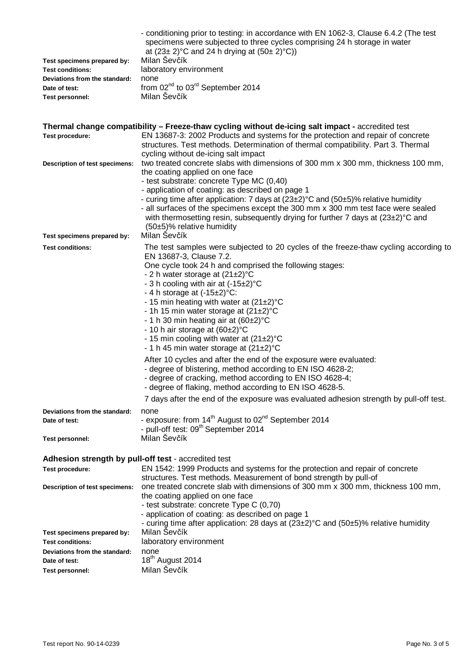|                               | - conditioning prior to testing: in accordance with EN 1062-3, Clause 6.4.2 (The test |
|-------------------------------|---------------------------------------------------------------------------------------|
|                               | specimens were subjected to three cycles comprising 24 h storage in water             |
|                               | at $(23\pm 2)$ °C and 24 h drying at $(50\pm 2)$ °C))                                 |
| Test specimens prepared by:   | Milan Sevčík                                                                          |
| <b>Test conditions:</b>       | laboratory environment                                                                |
| Deviations from the standard: | none                                                                                  |
| Date of test:                 | from $02^{nd}$ to $03^{rd}$ September 2014                                            |
| Test personnel:               | Milan Ševčík                                                                          |

|                                                      | Thermal change compatibility - Freeze-thaw cycling without de-icing salt impact - accredited test                                                                                                                                                                                                                                                                                                                                                                                                                                                                                                                                                                                                                                                                                                                                                                                                                              |
|------------------------------------------------------|--------------------------------------------------------------------------------------------------------------------------------------------------------------------------------------------------------------------------------------------------------------------------------------------------------------------------------------------------------------------------------------------------------------------------------------------------------------------------------------------------------------------------------------------------------------------------------------------------------------------------------------------------------------------------------------------------------------------------------------------------------------------------------------------------------------------------------------------------------------------------------------------------------------------------------|
| Test procedure:                                      | EN 13687-3: 2002 Products and systems for the protection and repair of concrete<br>structures. Test methods. Determination of thermal compatibility. Part 3. Thermal<br>cycling without de-icing salt impact                                                                                                                                                                                                                                                                                                                                                                                                                                                                                                                                                                                                                                                                                                                   |
| Description of test specimens:                       | two treated concrete slabs with dimensions of 300 mm x 300 mm, thickness 100 mm,<br>the coating applied on one face<br>- test substrate: concrete Type MC (0,40)<br>- application of coating: as described on page 1<br>- curing time after application: 7 days at $(23\pm2)$ °C and $(50\pm5)$ % relative humidity<br>- all surfaces of the specimens except the 300 mm x 300 mm test face were sealed<br>with thermosetting resin, subsequently drying for further 7 days at $(23\pm2)$ °C and<br>(50±5)% relative humidity                                                                                                                                                                                                                                                                                                                                                                                                  |
| Test specimens prepared by:                          | Milan Sevčík                                                                                                                                                                                                                                                                                                                                                                                                                                                                                                                                                                                                                                                                                                                                                                                                                                                                                                                   |
| <b>Test conditions:</b>                              | The test samples were subjected to 20 cycles of the freeze-thaw cycling according to<br>EN 13687-3, Clause 7.2.<br>One cycle took 24 h and comprised the following stages:<br>- 2 h water storage at $(21\pm2)$ °C<br>- 3 h cooling with air at (-15±2) °C<br>- 4 h storage at $(-15\pm2)$ °C:<br>- 15 min heating with water at $(21\pm2)$ °C<br>- 1h 15 min water storage at $(21\pm2)$ °C<br>- 1 h 30 min heating air at $(60\pm2)$ °C<br>- 10 h air storage at $(60\pm2)$ °C<br>- 15 min cooling with water at (21±2)°C<br>- 1 h 45 min water storage at $(21\pm2)$ °C<br>After 10 cycles and after the end of the exposure were evaluated:<br>- degree of blistering, method according to EN ISO 4628-2;<br>- degree of cracking, method according to EN ISO 4628-4;<br>- degree of flaking, method according to EN ISO 4628-5.<br>7 days after the end of the exposure was evaluated adhesion strength by pull-off test. |
| Deviations from the standard:<br>Date of test:       | none<br>- exposure: from 14 <sup>th</sup> August to 02 <sup>nd</sup> September 2014<br>- pull-off test: 09 <sup>th</sup> September 2014                                                                                                                                                                                                                                                                                                                                                                                                                                                                                                                                                                                                                                                                                                                                                                                        |
| Test personnel:                                      | Milan Ševčík                                                                                                                                                                                                                                                                                                                                                                                                                                                                                                                                                                                                                                                                                                                                                                                                                                                                                                                   |
| Adhesion strength by pull-off test - accredited test |                                                                                                                                                                                                                                                                                                                                                                                                                                                                                                                                                                                                                                                                                                                                                                                                                                                                                                                                |
| Test procedure:                                      | EN 1542: 1999 Products and systems for the protection and repair of concrete                                                                                                                                                                                                                                                                                                                                                                                                                                                                                                                                                                                                                                                                                                                                                                                                                                                   |
| Description of test specimens:                       | structures. Test methods. Measurement of bond strength by pull-of<br>one treated concrete slab with dimensions of 300 mm x 300 mm, thickness 100 mm,<br>the coating applied on one face<br>- test substrate: concrete Type C (0,70)<br>- application of coating: as described on page 1<br>- curing time after application: 28 days at (23±2)°C and (50±5)% relative humidity                                                                                                                                                                                                                                                                                                                                                                                                                                                                                                                                                  |
| Test specimens prepared by:                          | Milan Ševčík                                                                                                                                                                                                                                                                                                                                                                                                                                                                                                                                                                                                                                                                                                                                                                                                                                                                                                                   |
| <b>Test conditions:</b>                              | laboratory environment                                                                                                                                                                                                                                                                                                                                                                                                                                                                                                                                                                                                                                                                                                                                                                                                                                                                                                         |
| Deviations from the standard:<br>Date of test:       | none<br>18 <sup>th</sup> August 2014                                                                                                                                                                                                                                                                                                                                                                                                                                                                                                                                                                                                                                                                                                                                                                                                                                                                                           |
| Test personnel:                                      | Milan Ševčík                                                                                                                                                                                                                                                                                                                                                                                                                                                                                                                                                                                                                                                                                                                                                                                                                                                                                                                   |
|                                                      |                                                                                                                                                                                                                                                                                                                                                                                                                                                                                                                                                                                                                                                                                                                                                                                                                                                                                                                                |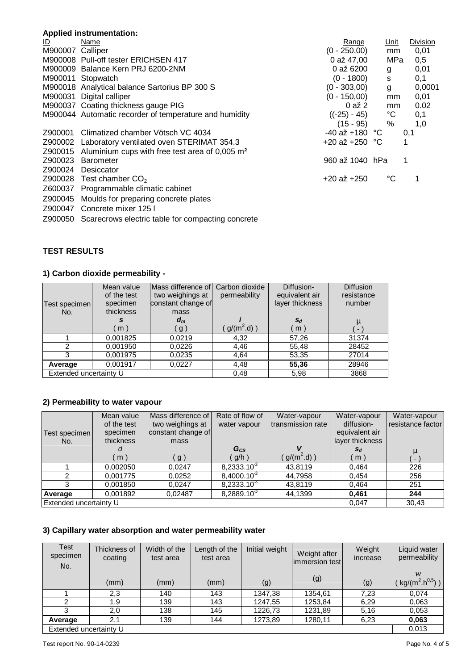# **Applied instrumentation:**

| Name                                                                 | Range           |             | <b>Division</b>                                                                               |
|----------------------------------------------------------------------|-----------------|-------------|-----------------------------------------------------------------------------------------------|
| M900007 Calliper                                                     | $(0 - 250,00)$  | mm          | 0,01                                                                                          |
| M900008 Pull-off tester ERICHSEN 417                                 | 0 až 47,00      | MPa         | 0,5                                                                                           |
| M900009 Balance Kern PRJ 6200-2NM                                    | 0 až 6200       |             | 0,01                                                                                          |
| M900011 Stopwatch                                                    | $(0 - 1800)$    | S           | 0,1                                                                                           |
| M900018 Analytical balance Sartorius BP 300 S                        | $(0 - 303,00)$  | g           | 0,0001                                                                                        |
| M900031 Digital calliper                                             | $(0 - 150,00)$  | mm          | 0,01                                                                                          |
| M900037 Coating thickness gauge PIG                                  | 0 až 2          | mm          | 0.02                                                                                          |
| M900044 Automatic recorder of temperature and humidity               |                 | $^{\circ}C$ | 0,1                                                                                           |
|                                                                      | $(15 - 95)$     | %           | 1,0                                                                                           |
| Climatized chamber Vötsch VC 4034                                    |                 |             | 0,1                                                                                           |
| Z900002 Laboratory ventilated oven STERIMAT 354.3                    |                 |             |                                                                                               |
| Z900015 Aluminium cups with free test area of $0,005$ m <sup>2</sup> |                 |             |                                                                                               |
| Barometer                                                            |                 |             | 1                                                                                             |
| Desiccator                                                           |                 |             |                                                                                               |
| Test chamber $CO2$                                                   | $+20$ až $+250$ | °C          |                                                                                               |
| Z600037 Programmable climatic cabinet                                |                 |             |                                                                                               |
| Z900045 Moulds for preparing concrete plates                         |                 |             |                                                                                               |
| Z900047 Concrete mixer 125 I                                         |                 |             |                                                                                               |
|                                                                      |                 |             | <u>Unit</u><br>g<br>$((-25) - 45)$<br>$-40$ až +180 °C<br>+20 až +250 $°C$<br>960 až 1040 hPa |

Z900050 Scarecrows electric table for compacting concrete

# **TEST RESULTS**

## **1) Carbon dioxide permeability -**

| Test specimen<br>No.   | Mean value<br>of the test<br>specimen<br>thickness | <b>IMass difference of Carbon dioxide</b><br>two weighings at<br>constant change of<br>mass | permeability     | Diffusion-<br>equivalent air<br>layer thickness | <b>Diffusion</b><br>resistance<br>number |
|------------------------|----------------------------------------------------|---------------------------------------------------------------------------------------------|------------------|-------------------------------------------------|------------------------------------------|
|                        | (m)                                                | $d_m$<br>( g )                                                                              | $g/(m^2 \, d)$ ) | $S_d$<br>m)                                     | $\mathbf{m}$<br>$\blacksquare$           |
|                        | 0.001825                                           | 0.0219                                                                                      | 4,32             | 57,26                                           | 31374                                    |
| າ                      | 0,001950                                           | 0,0226                                                                                      | 4,46             | 55,48                                           | 28452                                    |
|                        | 0,001975                                           | 0.0235                                                                                      | 4,64             | 53,35                                           | 27014                                    |
| Average                | 0,001917                                           | 0,0227                                                                                      | 4,48             | 55,36                                           | 28946                                    |
| Extended uncertainty U |                                                    |                                                                                             | 0,48             | 5,98                                            | 3868                                     |

## **2) Permeability to water vapour**

|                        | Mean value  | Mass difference of | Rate of flow of        | Water-vapour      | Water-vapour    | Water-vapour             |
|------------------------|-------------|--------------------|------------------------|-------------------|-----------------|--------------------------|
|                        | of the test | two weighings at   | water vapour           | transmission rate | diffusion-      | resistance factor        |
| Test specimen          | specimen    | constant change of |                        |                   | equivalent air  |                          |
| No.                    | thickness   | mass               |                        |                   | layer thickness |                          |
|                        | a           |                    | $G_{CS}$               |                   | $S_d$           | $\mathbf{m}$             |
|                        | m)          | g)                 | $g/h$ )                | $(g/(m^2.d))$     | m)              | $\overline{\phantom{a}}$ |
|                        | 0,002050    | 0.0247             | $8,2333.10^{3}$        | 43,8119           | 0.464           | 226                      |
|                        | 0.001775    | 0.0252             | $8,4000.10^{3}$        | 44,7958           | 0.454           | 256                      |
|                        | 0,001850    | 0.0247             | $8,2333.10^{3}$        | 43,8119           | 0,464           | 251                      |
| Average                | 0,001892    | 0,02487            | 8,2889.10 <sup>3</sup> | 44,1399           | 0.461           | 244                      |
| Extended uncertainty U |             |                    |                        |                   | 0.047           | 30,43                    |

## **3) Capillary water absorption and water permeability water**

| Test<br>specimen<br>No. | Thickness of<br>coating | Width of the<br>test area | Length of the<br>test area | Initial weight | Weight after<br>immersion test | Weight<br>increase | Liquid water<br>permeability                 |
|-------------------------|-------------------------|---------------------------|----------------------------|----------------|--------------------------------|--------------------|----------------------------------------------|
|                         | (mm)                    | (mm)                      | (mm)                       | (g)            | (g)                            | (g)                | w<br>kg/(m <sup>2</sup> .h <sup>0,5</sup> )) |
|                         | 2,3                     | 140                       | 143                        | 1347,38        | 1354,61                        | 7,23               | 0.074                                        |
| っ                       | 1.9                     | 139                       | 143                        | 1247,55        | 1253,84                        | 6,29               | 0.063                                        |
|                         | 2,0                     | 138                       | 145                        | 1226.73        | 1231,89                        | 5,16               | 0.053                                        |
| Average                 | 2,1                     | 139                       | 144                        | 1273,89        | 1280,11                        | 6,23               | 0,063                                        |
| Extended uncertainty U  |                         |                           |                            |                |                                |                    | 0,013                                        |